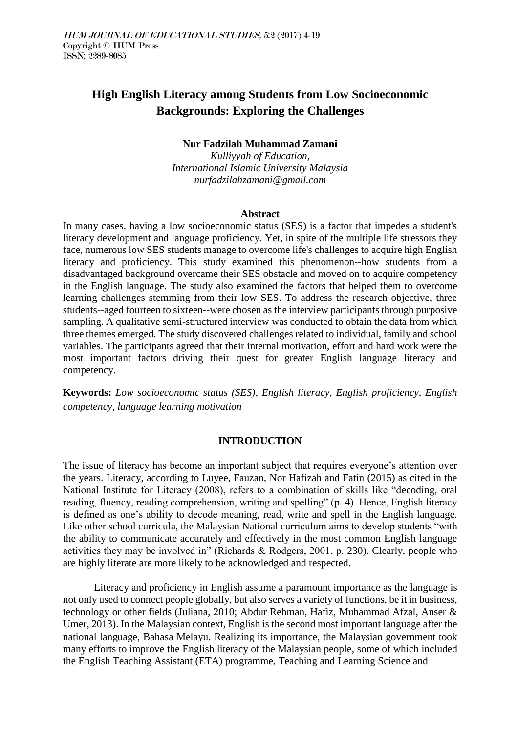# **High English Literacy among Students from Low Socioeconomic Backgrounds: Exploring the Challenges**

## **Nur Fadzilah Muhammad Zamani**

*Kulliyyah of Education, International Islamic University Malaysia nurfadzilahzamani@gmail.com*

#### **Abstract**

In many cases, having a low socioeconomic status (SES) is a factor that impedes a student's literacy development and language proficiency. Yet, in spite of the multiple life stressors they face, numerous low SES students manage to overcome life's challenges to acquire high English literacy and proficiency. This study examined this phenomenon--how students from a disadvantaged background overcame their SES obstacle and moved on to acquire competency in the English language. The study also examined the factors that helped them to overcome learning challenges stemming from their low SES. To address the research objective, three students--aged fourteen to sixteen--were chosen as the interview participants through purposive sampling. A qualitative semi-structured interview was conducted to obtain the data from which three themes emerged. The study discovered challenges related to individual, family and school variables. The participants agreed that their internal motivation, effort and hard work were the most important factors driving their quest for greater English language literacy and competency.

**Keywords:** *Low socioeconomic status (SES), English literacy, English proficiency, English competency, language learning motivation* 

## **INTRODUCTION**

The issue of literacy has become an important subject that requires everyone's attention over the years. Literacy, according to Luyee, Fauzan, Nor Hafizah and Fatin (2015) as cited in the National Institute for Literacy (2008), refers to a combination of skills like "decoding, oral reading, fluency, reading comprehension, writing and spelling" (p. 4). Hence, English literacy is defined as one's ability to decode meaning, read, write and spell in the English language. Like other school curricula, the Malaysian National curriculum aims to develop students "with the ability to communicate accurately and effectively in the most common English language activities they may be involved in" (Richards & Rodgers, 2001, p. 230). Clearly, people who are highly literate are more likely to be acknowledged and respected.

Literacy and proficiency in English assume a paramount importance as the language is not only used to connect people globally, but also serves a variety of functions, be it in business, technology or other fields (Juliana, 2010; Abdur Rehman, Hafiz, Muhammad Afzal, Anser & Umer, 2013). In the Malaysian context, English is the second most important language after the national language, Bahasa Melayu. Realizing its importance, the Malaysian government took many efforts to improve the English literacy of the Malaysian people, some of which included the English Teaching Assistant (ETA) programme, Teaching and Learning Science and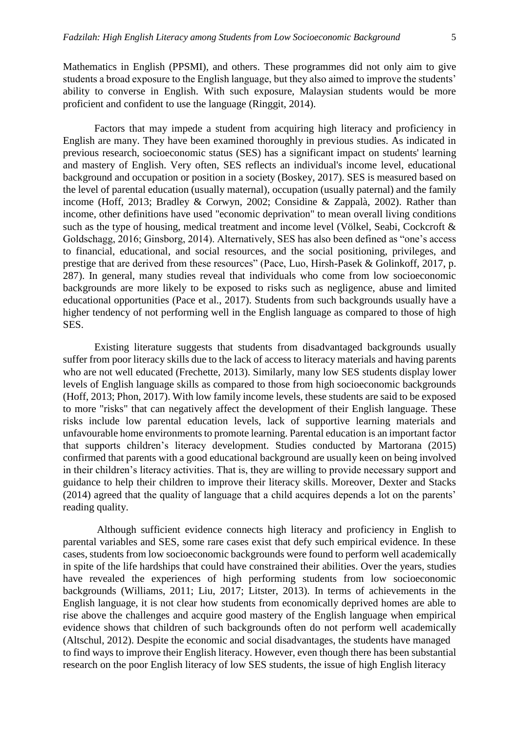Mathematics in English (PPSMI), and others. These programmes did not only aim to give students a broad exposure to the English language, but they also aimed to improve the students' ability to converse in English. With such exposure, Malaysian students would be more proficient and confident to use the language (Ringgit, 2014).

Factors that may impede a student from acquiring high literacy and proficiency in English are many. They have been examined thoroughly in previous studies. As indicated in previous research, socioeconomic status (SES) has a significant impact on students' learning and mastery of English. Very often, SES reflects an individual's income level, educational background and occupation or position in a society (Boskey, 2017). SES is measured based on the level of parental education (usually maternal), occupation (usually paternal) and the family income (Hoff, 2013; Bradley & Corwyn, 2002; Considine & Zappalà, 2002). Rather than income, other definitions have used "economic deprivation" to mean overall living conditions such as the type of housing, medical treatment and income level (Völkel, Seabi, Cockcroft & Goldschagg, 2016; Ginsborg, 2014). Alternatively, SES has also been defined as "one's access to financial, educational, and social resources, and the social positioning, privileges, and prestige that are derived from these resources" (Pace, Luo, Hirsh-Pasek & Golinkoff, 2017, p. 287). In general, many studies reveal that individuals who come from low socioeconomic backgrounds are more likely to be exposed to risks such as negligence, abuse and limited educational opportunities (Pace et al., 2017). Students from such backgrounds usually have a higher tendency of not performing well in the English language as compared to those of high SES.

Existing literature suggests that students from disadvantaged backgrounds usually suffer from poor literacy skills due to the lack of access to literacy materials and having parents who are not well educated (Frechette, 2013). Similarly, many low SES students display lower levels of English language skills as compared to those from high socioeconomic backgrounds (Hoff, 2013; Phon, 2017). With low family income levels, these students are said to be exposed to more "risks" that can negatively affect the development of their English language. These risks include low parental education levels, lack of supportive learning materials and unfavourable home environments to promote learning. Parental education is an important factor that supports children's literacy development. Studies conducted by Martorana (2015) confirmed that parents with a good educational background are usually keen on being involved in their children's literacy activities. That is, they are willing to provide necessary support and guidance to help their children to improve their literacy skills. Moreover, Dexter and Stacks (2014) agreed that the quality of language that a child acquires depends a lot on the parents' reading quality.

Although sufficient evidence connects high literacy and proficiency in English to parental variables and SES, some rare cases exist that defy such empirical evidence. In these cases, students from low socioeconomic backgrounds were found to perform well academically in spite of the life hardships that could have constrained their abilities. Over the years, studies have revealed the experiences of high performing students from low socioeconomic backgrounds (Williams, 2011; Liu, 2017; Litster, 2013). In terms of achievements in the English language, it is not clear how students from economically deprived homes are able to rise above the challenges and acquire good mastery of the English language when empirical evidence shows that children of such backgrounds often do not perform well academically (Altschul, 2012). Despite the economic and social disadvantages, the students have managed to find ways to improve their English literacy. However, even though there has been substantial research on the poor English literacy of low SES students, the issue of high English literacy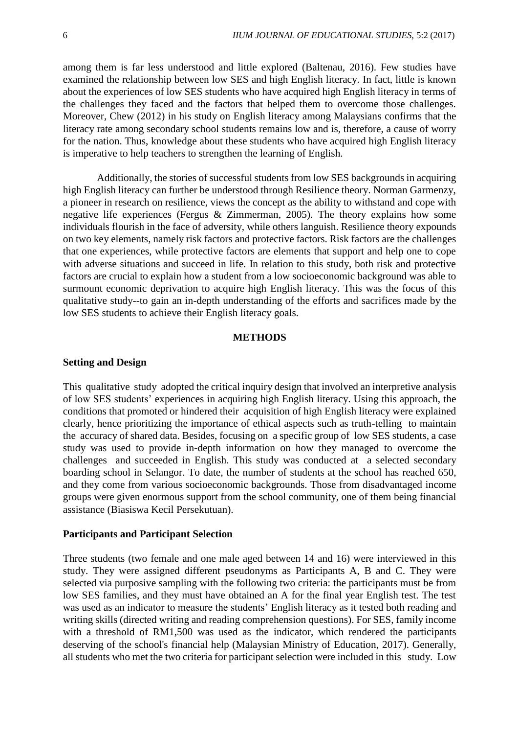among them is far less understood and little explored (Baltenau, 2016). Few studies have examined the relationship between low SES and high English literacy. In fact, little is known about the experiences of low SES students who have acquired high English literacy in terms of the challenges they faced and the factors that helped them to overcome those challenges. Moreover, Chew (2012) in his study on English literacy among Malaysians confirms that the literacy rate among secondary school students remains low and is, therefore, a cause of worry for the nation. Thus, knowledge about these students who have acquired high English literacy is imperative to help teachers to strengthen the learning of English.

Additionally, the stories of successful students from low SES backgrounds in acquiring high English literacy can further be understood through Resilience theory. Norman Garmenzy, a pioneer in research on resilience, views the concept as the ability to withstand and cope with negative life experiences (Fergus & Zimmerman, 2005). The theory explains how some individuals flourish in the face of adversity, while others languish. Resilience theory expounds on two key elements, namely risk factors and protective factors. Risk factors are the challenges that one experiences, while protective factors are elements that support and help one to cope with adverse situations and succeed in life. In relation to this study, both risk and protective factors are crucial to explain how a student from a low socioeconomic background was able to surmount economic deprivation to acquire high English literacy. This was the focus of this qualitative study--to gain an in-depth understanding of the efforts and sacrifices made by the low SES students to achieve their English literacy goals.

### **METHODS**

#### **Setting and Design**

This qualitative study adopted the critical inquiry design that involved an interpretive analysis of low SES students' experiences in acquiring high English literacy. Using this approach, the conditions that promoted or hindered their acquisition of high English literacy were explained clearly, hence prioritizing the importance of ethical aspects such as truth-telling to maintain the accuracy of shared data. Besides, focusing on a specific group of low SES students, a case study was used to provide in-depth information on how they managed to overcome the challenges and succeeded in English. This study was conducted at a selected secondary boarding school in Selangor. To date, the number of students at the school has reached 650, and they come from various socioeconomic backgrounds. Those from disadvantaged income groups were given enormous support from the school community, one of them being financial assistance (Biasiswa Kecil Persekutuan).

#### **Participants and Participant Selection**

Three students (two female and one male aged between 14 and 16) were interviewed in this study. They were assigned different pseudonyms as Participants A, B and C. They were selected via purposive sampling with the following two criteria: the participants must be from low SES families, and they must have obtained an A for the final year English test. The test was used as an indicator to measure the students' English literacy as it tested both reading and writing skills (directed writing and reading comprehension questions). For SES, family income with a threshold of RM1,500 was used as the indicator, which rendered the participants deserving of the school's financial help (Malaysian Ministry of Education, 2017). Generally, all students who met the two criteria for participant selection were included in this study. Low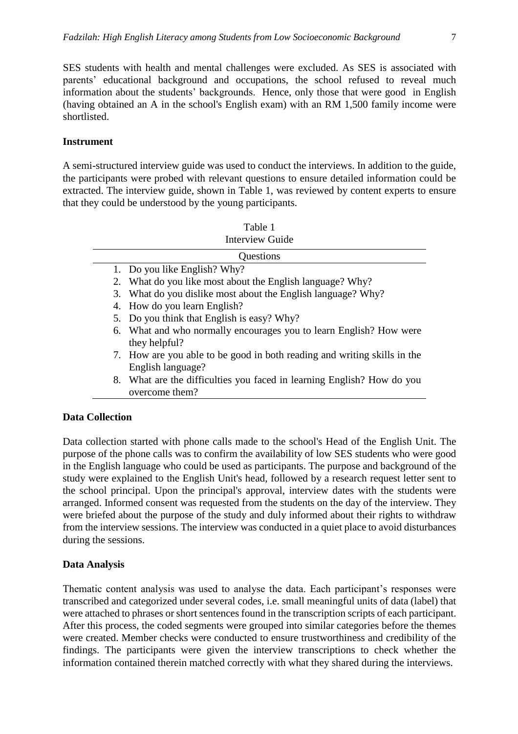SES students with health and mental challenges were excluded. As SES is associated with parents' educational background and occupations, the school refused to reveal much information about the students' backgrounds. Hence, only those that were good in English (having obtained an A in the school's English exam) with an RM 1,500 family income were shortlisted.

## **Instrument**

A semi-structured interview guide was used to conduct the interviews. In addition to the guide, the participants were probed with relevant questions to ensure detailed information could be extracted. The interview guide, shown in Table 1, was reviewed by content experts to ensure that they could be understood by the young participants.

| Table 1                |                                                                                               |  |  |
|------------------------|-----------------------------------------------------------------------------------------------|--|--|
| <b>Interview Guide</b> |                                                                                               |  |  |
| Questions              |                                                                                               |  |  |
|                        | 1. Do you like English? Why?                                                                  |  |  |
|                        | 2. What do you like most about the English language? Why?                                     |  |  |
|                        | 3. What do you dislike most about the English language? Why?                                  |  |  |
|                        | 4. How do you learn English?                                                                  |  |  |
|                        | 5. Do you think that English is easy? Why?                                                    |  |  |
|                        | 6. What and who normally encourages you to learn English? How were<br>they helpful?           |  |  |
|                        | 7. How are you able to be good in both reading and writing skills in the<br>English language? |  |  |
|                        | 8. What are the difficulties you faced in learning English? How do you<br>overcome them?      |  |  |

# **Data Collection**

Data collection started with phone calls made to the school's Head of the English Unit. The purpose of the phone calls was to confirm the availability of low SES students who were good in the English language who could be used as participants. The purpose and background of the study were explained to the English Unit's head, followed by a research request letter sent to the school principal. Upon the principal's approval, interview dates with the students were arranged. Informed consent was requested from the students on the day of the interview. They were briefed about the purpose of the study and duly informed about their rights to withdraw from the interview sessions. The interview was conducted in a quiet place to avoid disturbances during the sessions.

## **Data Analysis**

Thematic content analysis was used to analyse the data. Each participant's responses were transcribed and categorized under several codes, i.e. small meaningful units of data (label) that were attached to phrases or short sentences found in the transcription scripts of each participant. After this process, the coded segments were grouped into similar categories before the themes were created. Member checks were conducted to ensure trustworthiness and credibility of the findings. The participants were given the interview transcriptions to check whether the information contained therein matched correctly with what they shared during the interviews.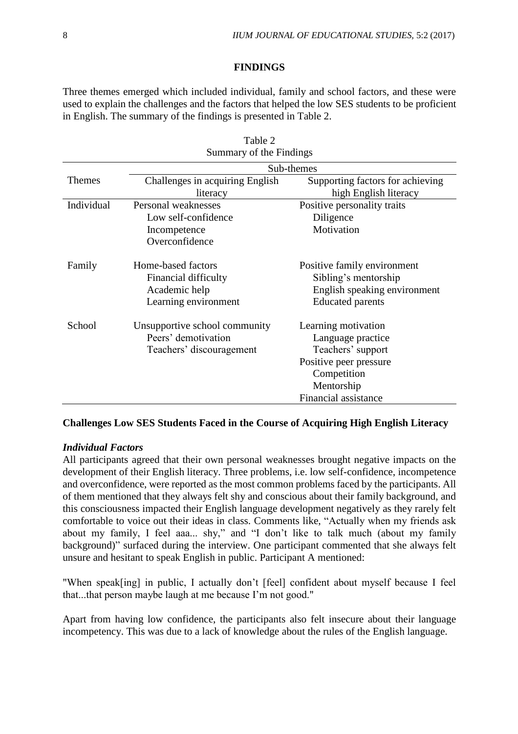## **FINDINGS**

Three themes emerged which included individual, family and school factors, and these were used to explain the challenges and the factors that helped the low SES students to be proficient in English. The summary of the findings is presented in Table 2.

 $T_0$ <sub>b</sub> $1_2$  2

| <b>Table</b> $\angle$<br>Summary of the Findings |                                 |                                  |  |
|--------------------------------------------------|---------------------------------|----------------------------------|--|
|                                                  | Sub-themes                      |                                  |  |
| <b>Themes</b>                                    | Challenges in acquiring English | Supporting factors for achieving |  |
|                                                  | literacy                        | high English literacy            |  |
| Individual                                       | Personal weaknesses             | Positive personality traits      |  |
|                                                  | Low self-confidence             | Diligence                        |  |
|                                                  | Incompetence                    | Motivation                       |  |
|                                                  | Overconfidence                  |                                  |  |
| Family                                           | Home-based factors              | Positive family environment      |  |
|                                                  | Financial difficulty            | Sibling's mentorship             |  |
|                                                  | Academic help                   | English speaking environment     |  |
|                                                  | Learning environment            | <b>Educated parents</b>          |  |
| School                                           | Unsupportive school community   | Learning motivation              |  |
|                                                  | Peers' demotivation             | Language practice                |  |
|                                                  | Teachers' discouragement        | Teachers' support                |  |
|                                                  |                                 | Positive peer pressure           |  |
|                                                  |                                 | Competition                      |  |
|                                                  |                                 | Mentorship                       |  |
|                                                  |                                 | Financial assistance             |  |

## **Challenges Low SES Students Faced in the Course of Acquiring High English Literacy**

### *Individual Factors*

All participants agreed that their own personal weaknesses brought negative impacts on the development of their English literacy. Three problems, i.e. low self-confidence, incompetence and overconfidence, were reported as the most common problems faced by the participants. All of them mentioned that they always felt shy and conscious about their family background, and this consciousness impacted their English language development negatively as they rarely felt comfortable to voice out their ideas in class. Comments like, "Actually when my friends ask about my family, I feel aaa... shy," and "I don't like to talk much (about my family background)" surfaced during the interview. One participant commented that she always felt unsure and hesitant to speak English in public. Participant A mentioned:

"When speak[ing] in public, I actually don't [feel] confident about myself because I feel that...that person maybe laugh at me because I'm not good."

Apart from having low confidence, the participants also felt insecure about their language incompetency. This was due to a lack of knowledge about the rules of the English language.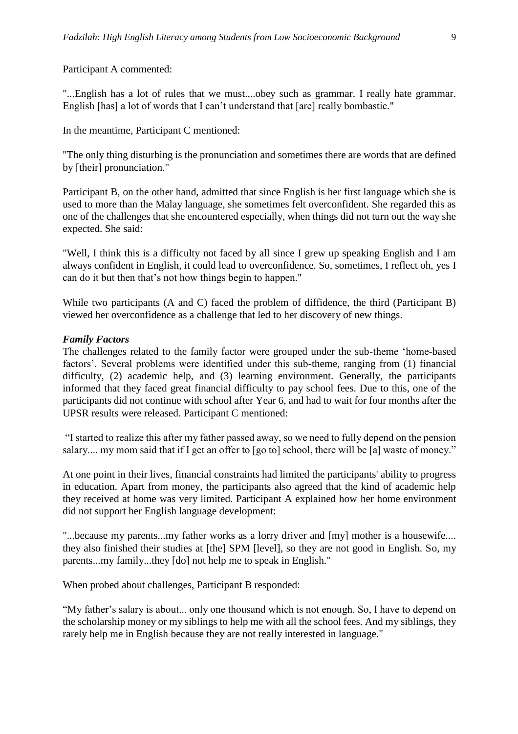Participant A commented:

"...English has a lot of rules that we must....obey such as grammar. I really hate grammar. English [has] a lot of words that I can't understand that [are] really bombastic."

In the meantime, Participant C mentioned:

"The only thing disturbing is the pronunciation and sometimes there are words that are defined by [their] pronunciation."

Participant B, on the other hand, admitted that since English is her first language which she is used to more than the Malay language, she sometimes felt overconfident. She regarded this as one of the challenges that she encountered especially, when things did not turn out the way she expected. She said:

"Well, I think this is a difficulty not faced by all since I grew up speaking English and I am always confident in English, it could lead to overconfidence. So, sometimes, I reflect oh, yes I can do it but then that's not how things begin to happen."

While two participants (A and C) faced the problem of diffidence, the third (Participant B) viewed her overconfidence as a challenge that led to her discovery of new things.

## *Family Factors*

The challenges related to the family factor were grouped under the sub-theme 'home-based factors'. Several problems were identified under this sub-theme, ranging from (1) financial difficulty, (2) academic help, and (3) learning environment. Generally, the participants informed that they faced great financial difficulty to pay school fees. Due to this, one of the participants did not continue with school after Year 6, and had to wait for four months after the UPSR results were released. Participant C mentioned:

"I started to realize this after my father passed away, so we need to fully depend on the pension salary.... my mom said that if I get an offer to [go to] school, there will be [a] waste of money."

At one point in their lives, financial constraints had limited the participants' ability to progress in education. Apart from money, the participants also agreed that the kind of academic help they received at home was very limited. Participant A explained how her home environment did not support her English language development:

"...because my parents...my father works as a lorry driver and [my] mother is a housewife.... they also finished their studies at [the] SPM [level], so they are not good in English. So, my parents...my family...they [do] not help me to speak in English."

When probed about challenges, Participant B responded:

"My father's salary is about... only one thousand which is not enough. So, I have to depend on the scholarship money or my siblings to help me with all the school fees. And my siblings, they rarely help me in English because they are not really interested in language."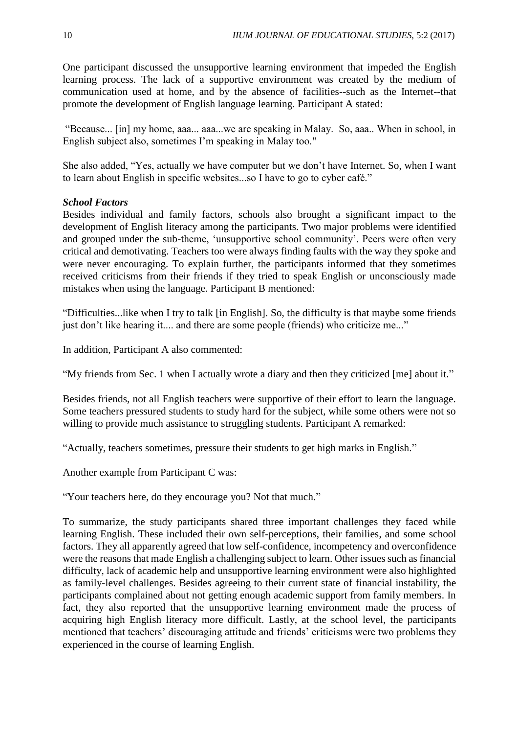One participant discussed the unsupportive learning environment that impeded the English learning process. The lack of a supportive environment was created by the medium of communication used at home, and by the absence of facilities--such as the Internet--that promote the development of English language learning. Participant A stated:

"Because... [in] my home, aaa... aaa...we are speaking in Malay. So, aaa.. When in school, in English subject also, sometimes I'm speaking in Malay too."

She also added, "Yes, actually we have computer but we don't have Internet. So, when I want to learn about English in specific websites...so I have to go to cyber café."

## *School Factors*

Besides individual and family factors, schools also brought a significant impact to the development of English literacy among the participants. Two major problems were identified and grouped under the sub-theme, 'unsupportive school community'. Peers were often very critical and demotivating. Teachers too were always finding faults with the way they spoke and were never encouraging. To explain further, the participants informed that they sometimes received criticisms from their friends if they tried to speak English or unconsciously made mistakes when using the language. Participant B mentioned:

"Difficulties...like when I try to talk [in English]. So, the difficulty is that maybe some friends just don't like hearing it.... and there are some people (friends) who criticize me..."

In addition, Participant A also commented:

"My friends from Sec. 1 when I actually wrote a diary and then they criticized [me] about it."

Besides friends, not all English teachers were supportive of their effort to learn the language. Some teachers pressured students to study hard for the subject, while some others were not so willing to provide much assistance to struggling students. Participant A remarked:

"Actually, teachers sometimes, pressure their students to get high marks in English."

Another example from Participant C was:

"Your teachers here, do they encourage you? Not that much."

To summarize, the study participants shared three important challenges they faced while learning English. These included their own self-perceptions, their families, and some school factors. They all apparently agreed that low self-confidence, incompetency and overconfidence were the reasons that made English a challenging subject to learn. Other issues such as financial difficulty, lack of academic help and unsupportive learning environment were also highlighted as family-level challenges. Besides agreeing to their current state of financial instability, the participants complained about not getting enough academic support from family members. In fact, they also reported that the unsupportive learning environment made the process of acquiring high English literacy more difficult. Lastly, at the school level, the participants mentioned that teachers' discouraging attitude and friends' criticisms were two problems they experienced in the course of learning English.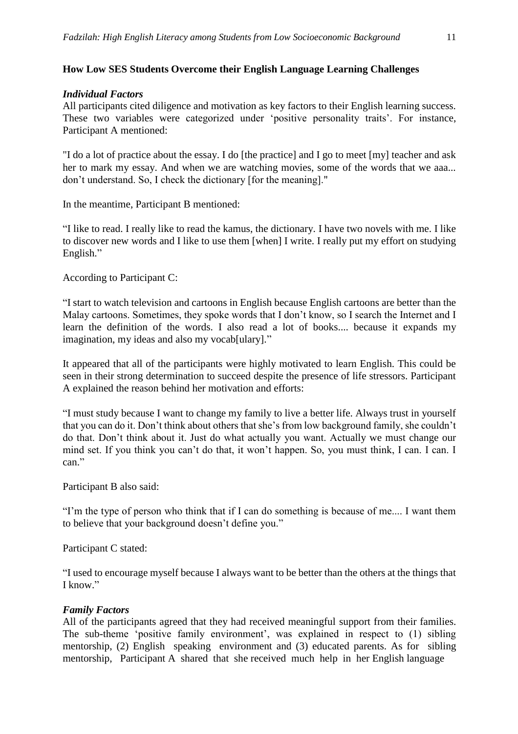# **How Low SES Students Overcome their English Language Learning Challenges**

## *Individual Factors*

All participants cited diligence and motivation as key factors to their English learning success. These two variables were categorized under 'positive personality traits'. For instance, Participant A mentioned:

"I do a lot of practice about the essay. I do [the practice] and I go to meet [my] teacher and ask her to mark my essay. And when we are watching movies, some of the words that we aaa... don't understand. So, I check the dictionary [for the meaning]."

In the meantime, Participant B mentioned:

"I like to read. I really like to read the kamus, the dictionary. I have two novels with me. I like to discover new words and I like to use them [when] I write. I really put my effort on studying English."

According to Participant C:

"I start to watch television and cartoons in English because English cartoons are better than the Malay cartoons. Sometimes, they spoke words that I don't know, so I search the Internet and I learn the definition of the words. I also read a lot of books.... because it expands my imagination, my ideas and also my vocab[ulary]."

It appeared that all of the participants were highly motivated to learn English. This could be seen in their strong determination to succeed despite the presence of life stressors. Participant A explained the reason behind her motivation and efforts:

"I must study because I want to change my family to live a better life. Always trust in yourself that you can do it. Don't think about others that she's from low background family, she couldn't do that. Don't think about it. Just do what actually you want. Actually we must change our mind set. If you think you can't do that, it won't happen. So, you must think, I can. I can. I can."

Participant B also said:

"I'm the type of person who think that if I can do something is because of me.... I want them to believe that your background doesn't define you."

Participant C stated:

"I used to encourage myself because I always want to be better than the others at the things that I know."

## *Family Factors*

All of the participants agreed that they had received meaningful support from their families. The sub-theme 'positive family environment', was explained in respect to (1) sibling mentorship, (2) English speaking environment and (3) educated parents. As for sibling mentorship, Participant A shared that she received much help in her English language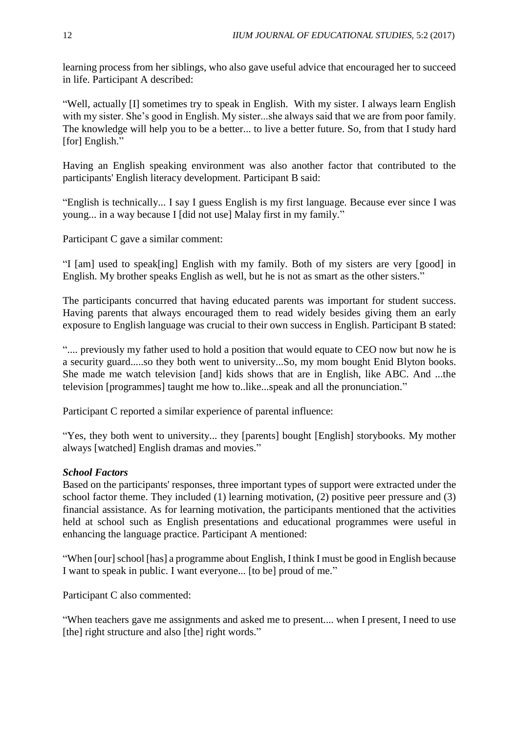learning process from her siblings, who also gave useful advice that encouraged her to succeed in life. Participant A described:

"Well, actually [I] sometimes try to speak in English. With my sister. I always learn English with my sister. She's good in English. My sister...she always said that we are from poor family. The knowledge will help you to be a better... to live a better future. So, from that I study hard [for] English."

Having an English speaking environment was also another factor that contributed to the participants' English literacy development. Participant B said:

"English is technically... I say I guess English is my first language. Because ever since I was young... in a way because I [did not use] Malay first in my family."

Participant C gave a similar comment:

"I [am] used to speak[ing] English with my family. Both of my sisters are very [good] in English. My brother speaks English as well, but he is not as smart as the other sisters."

The participants concurred that having educated parents was important for student success. Having parents that always encouraged them to read widely besides giving them an early exposure to English language was crucial to their own success in English. Participant B stated:

".... previously my father used to hold a position that would equate to CEO now but now he is a security guard.....so they both went to university...So, my mom bought Enid Blyton books. She made me watch television [and] kids shows that are in English, like ABC. And ...the television [programmes] taught me how to..like...speak and all the pronunciation."

Participant C reported a similar experience of parental influence:

"Yes, they both went to university... they [parents] bought [English] storybooks. My mother always [watched] English dramas and movies."

## *School Factors*

Based on the participants' responses, three important types of support were extracted under the school factor theme. They included (1) learning motivation, (2) positive peer pressure and (3) financial assistance. As for learning motivation, the participants mentioned that the activities held at school such as English presentations and educational programmes were useful in enhancing the language practice. Participant A mentioned:

"When [our] school [has] a programme about English, I think I must be good in English because I want to speak in public. I want everyone... [to be] proud of me."

Participant C also commented:

"When teachers gave me assignments and asked me to present.... when I present, I need to use [the] right structure and also [the] right words."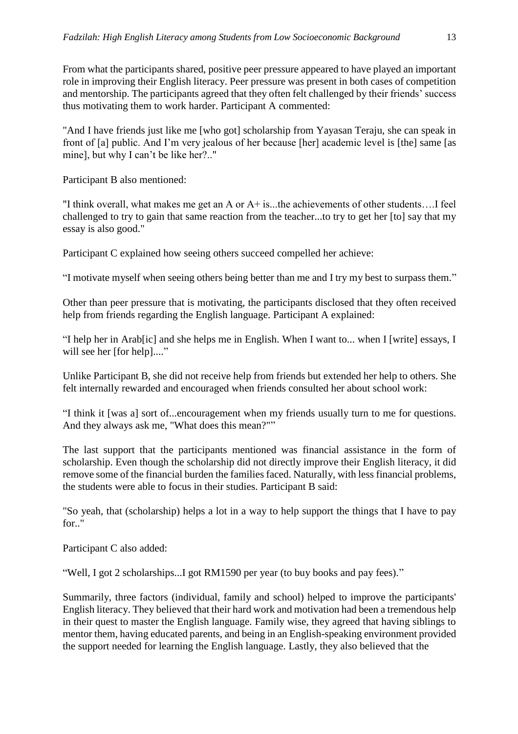From what the participants shared, positive peer pressure appeared to have played an important role in improving their English literacy. Peer pressure was present in both cases of competition and mentorship. The participants agreed that they often felt challenged by their friends' success thus motivating them to work harder. Participant A commented:

"And I have friends just like me [who got] scholarship from Yayasan Teraju, she can speak in front of [a] public. And I'm very jealous of her because [her] academic level is [the] same [as mine], but why I can't be like her?.."

Participant B also mentioned:

"I think overall, what makes me get an A or A+ is...the achievements of other students….I feel challenged to try to gain that same reaction from the teacher...to try to get her [to] say that my essay is also good."

Participant C explained how seeing others succeed compelled her achieve:

"I motivate myself when seeing others being better than me and I try my best to surpass them."

Other than peer pressure that is motivating, the participants disclosed that they often received help from friends regarding the English language. Participant A explained:

"I help her in Arab[ic] and she helps me in English. When I want to... when I [write] essays, I will see her [for help]...."

Unlike Participant B, she did not receive help from friends but extended her help to others. She felt internally rewarded and encouraged when friends consulted her about school work:

"I think it [was a] sort of...encouragement when my friends usually turn to me for questions. And they always ask me, "What does this mean?""

The last support that the participants mentioned was financial assistance in the form of scholarship. Even though the scholarship did not directly improve their English literacy, it did remove some of the financial burden the families faced. Naturally, with less financial problems, the students were able to focus in their studies. Participant B said:

"So yeah, that (scholarship) helps a lot in a way to help support the things that I have to pay for.."

Participant C also added:

"Well, I got 2 scholarships...I got RM1590 per year (to buy books and pay fees)."

Summarily, three factors (individual, family and school) helped to improve the participants' English literacy. They believed that their hard work and motivation had been a tremendous help in their quest to master the English language. Family wise, they agreed that having siblings to mentor them, having educated parents, and being in an English-speaking environment provided the support needed for learning the English language. Lastly, they also believed that the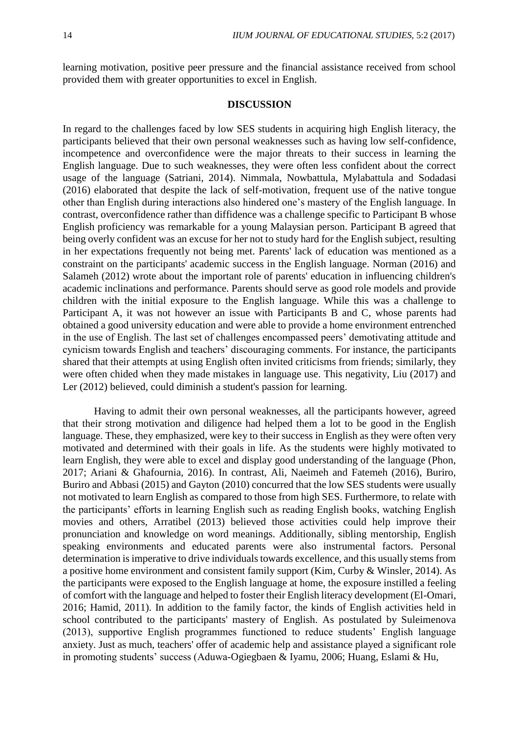learning motivation, positive peer pressure and the financial assistance received from school provided them with greater opportunities to excel in English.

## **DISCUSSION**

In regard to the challenges faced by low SES students in acquiring high English literacy, the participants believed that their own personal weaknesses such as having low self-confidence, incompetence and overconfidence were the major threats to their success in learning the English language. Due to such weaknesses, they were often less confident about the correct usage of the language (Satriani, 2014). Nimmala, Nowbattula, Mylabattula and Sodadasi (2016) elaborated that despite the lack of self-motivation, frequent use of the native tongue other than English during interactions also hindered one's mastery of the English language. In contrast, overconfidence rather than diffidence was a challenge specific to Participant B whose English proficiency was remarkable for a young Malaysian person. Participant B agreed that being overly confident was an excuse for her not to study hard for the English subject, resulting in her expectations frequently not being met. Parents' lack of education was mentioned as a constraint on the participants' academic success in the English language. Norman (2016) and Salameh (2012) wrote about the important role of parents' education in influencing children's academic inclinations and performance. Parents should serve as good role models and provide children with the initial exposure to the English language. While this was a challenge to Participant A, it was not however an issue with Participants B and C, whose parents had obtained a good university education and were able to provide a home environment entrenched in the use of English. The last set of challenges encompassed peers' demotivating attitude and cynicism towards English and teachers' discouraging comments. For instance, the participants shared that their attempts at using English often invited criticisms from friends; similarly, they were often chided when they made mistakes in language use. This negativity, Liu (2017) and Ler (2012) believed, could diminish a student's passion for learning.

Having to admit their own personal weaknesses, all the participants however, agreed that their strong motivation and diligence had helped them a lot to be good in the English language. These, they emphasized, were key to their success in English as they were often very motivated and determined with their goals in life. As the students were highly motivated to learn English, they were able to excel and display good understanding of the language (Phon, 2017; Ariani & Ghafournia, 2016). In contrast, Ali, Naeimeh and Fatemeh (2016), Buriro, Buriro and Abbasi (2015) and Gayton (2010) concurred that the low SES students were usually not motivated to learn English as compared to those from high SES. Furthermore, to relate with the participants' efforts in learning English such as reading English books, watching English movies and others, Arratibel (2013) believed those activities could help improve their pronunciation and knowledge on word meanings. Additionally, sibling mentorship, English speaking environments and educated parents were also instrumental factors. Personal determination is imperative to drive individuals towards excellence, and this usually stems from a positive home environment and consistent family support (Kim, Curby & Winsler, 2014). As the participants were exposed to the English language at home, the exposure instilled a feeling of comfort with the language and helped to foster their English literacy development (El-Omari, 2016; Hamid, 2011). In addition to the family factor, the kinds of English activities held in school contributed to the participants' mastery of English. As postulated by Suleimenova (2013), supportive English programmes functioned to reduce students' English language anxiety. Just as much, teachers' offer of academic help and assistance played a significant role in promoting students' success (Aduwa-Ogiegbaen & Iyamu, 2006; Huang, Eslami & Hu,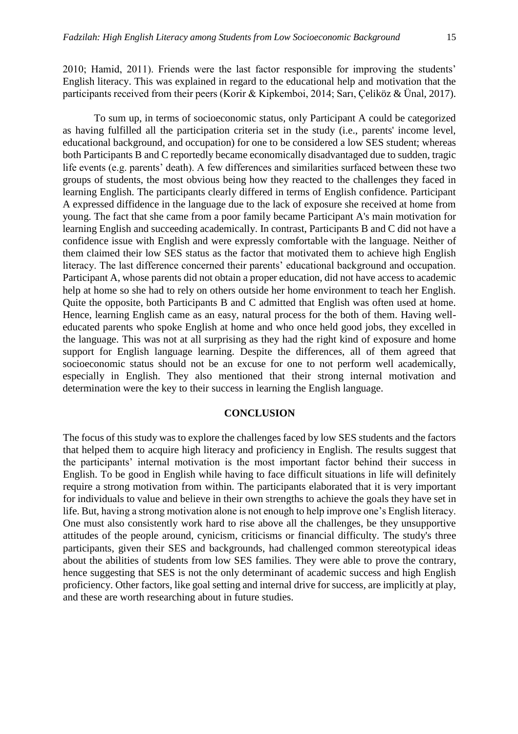2010; Hamid, 2011). Friends were the last factor responsible for improving the students' English literacy. This was explained in regard to the educational help and motivation that the participants received from their peers (Korir & Kipkemboi, 2014; Sarı, Çeliköz & Ünal, 2017).

To sum up, in terms of socioeconomic status, only Participant A could be categorized as having fulfilled all the participation criteria set in the study (i.e., parents' income level, educational background, and occupation) for one to be considered a low SES student; whereas both Participants B and C reportedly became economically disadvantaged due to sudden, tragic life events (e.g. parents' death). A few differences and similarities surfaced between these two groups of students, the most obvious being how they reacted to the challenges they faced in learning English. The participants clearly differed in terms of English confidence. Participant A expressed diffidence in the language due to the lack of exposure she received at home from young. The fact that she came from a poor family became Participant A's main motivation for learning English and succeeding academically. In contrast, Participants B and C did not have a confidence issue with English and were expressly comfortable with the language. Neither of them claimed their low SES status as the factor that motivated them to achieve high English literacy. The last difference concerned their parents' educational background and occupation. Participant A, whose parents did not obtain a proper education, did not have access to academic help at home so she had to rely on others outside her home environment to teach her English. Quite the opposite, both Participants B and C admitted that English was often used at home. Hence, learning English came as an easy, natural process for the both of them. Having welleducated parents who spoke English at home and who once held good jobs, they excelled in the language. This was not at all surprising as they had the right kind of exposure and home support for English language learning. Despite the differences, all of them agreed that socioeconomic status should not be an excuse for one to not perform well academically, especially in English. They also mentioned that their strong internal motivation and determination were the key to their success in learning the English language.

#### **CONCLUSION**

The focus of this study was to explore the challenges faced by low SES students and the factors that helped them to acquire high literacy and proficiency in English. The results suggest that the participants' internal motivation is the most important factor behind their success in English. To be good in English while having to face difficult situations in life will definitely require a strong motivation from within. The participants elaborated that it is very important for individuals to value and believe in their own strengths to achieve the goals they have set in life. But, having a strong motivation alone is not enough to help improve one's English literacy. One must also consistently work hard to rise above all the challenges, be they unsupportive attitudes of the people around, cynicism, criticisms or financial difficulty. The study's three participants, given their SES and backgrounds, had challenged common stereotypical ideas about the abilities of students from low SES families. They were able to prove the contrary, hence suggesting that SES is not the only determinant of academic success and high English proficiency. Other factors, like goal setting and internal drive for success, are implicitly at play, and these are worth researching about in future studies.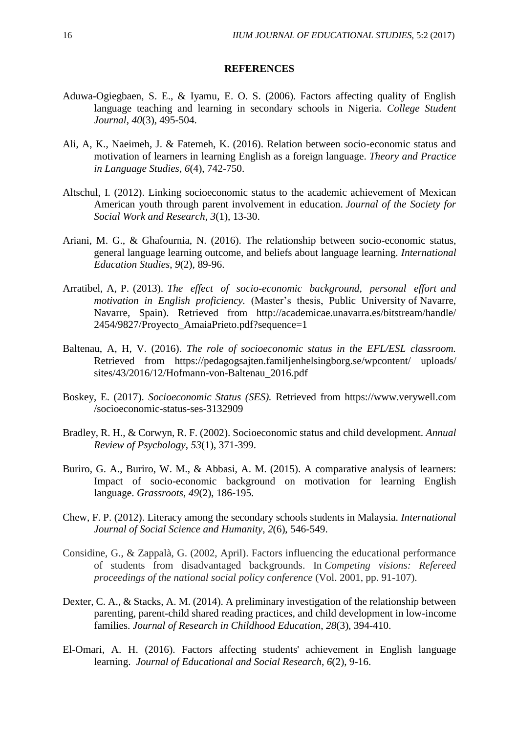#### **REFERENCES**

- Aduwa-Ogiegbaen, S. E., & Iyamu, E. O. S. (2006). Factors affecting quality of English language teaching and learning in secondary schools in Nigeria. *College Student Journal*, *40*(3), 495-504.
- Ali, A, K., Naeimeh, J. & Fatemeh, K. (2016). Relation between socio-economic status and motivation of learners in learning English as a foreign language. *Theory and Practice in Language Studies*, *6*(4), 742-750.
- Altschul, I. (2012). Linking socioeconomic status to the academic achievement of Mexican American youth through parent involvement in education. *Journal of the Society for Social Work and Research*, *3*(1), 13-30.
- Ariani, M. G., & Ghafournia, N. (2016). The relationship between socio-economic status, general language learning outcome, and beliefs about language learning. *International Education Studies*, *9*(2), 89-96.
- Arratibel, A, P. (2013). *The effect of socio-economic background, personal effort and motivation in English proficiency.* (Master's thesis, Public University of Navarre, Navarre, Spain). Retrieved from http://academicae.unavarra.es/bitstream/handle/ 2454/9827/Proyecto\_AmaiaPrieto.pdf?sequence=1
- Baltenau, A, H, V. (2016). *The role of socioeconomic status in the EFL/ESL classroom.* Retrieved from https://pedagogsajten.familjenhelsingborg.se/wpcontent/ uploads/ sites/43/2016/12/Hofmann-von-Baltenau\_2016.pdf
- Boskey, E. (2017). *Socioeconomic Status (SES).* Retrieved from https://www.verywell.com /socioeconomic-status-ses-3132909
- Bradley, R. H., & Corwyn, R. F. (2002). Socioeconomic status and child development. *Annual Review of Psychology*, *53*(1), 371-399.
- Buriro, G. A., Buriro, W. M., & Abbasi, A. M. (2015). A comparative analysis of learners: Impact of socio-economic background on motivation for learning English language. *Grassroots*, *49*(2), 186-195.
- Chew, F. P. (2012). Literacy among the secondary schools students in Malaysia. *International Journal of Social Science and Humanity*, *2*(6), 546-549.
- Considine, G., & Zappalà, G. (2002, April). Factors influencing the educational performance of students from disadvantaged backgrounds. In *Competing visions: Refereed proceedings of the national social policy conference* (Vol. 2001, pp. 91-107).
- Dexter, C. A., & Stacks, A. M. (2014). A preliminary investigation of the relationship between parenting, parent-child shared reading practices, and child development in low-income families. *Journal of Research in Childhood Education*, *28*(3), 394-410.
- El-Omari, A. H. (2016). Factors affecting students' achievement in English language learning. *Journal of Educational and Social Research*, *6*(2), 9-16.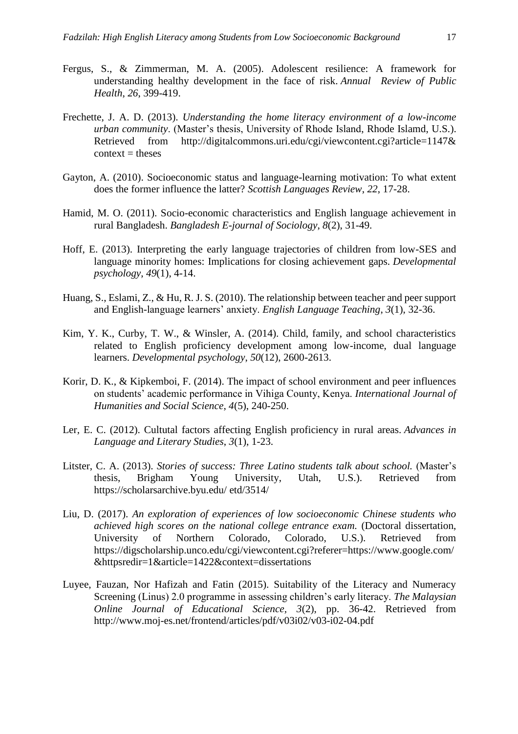- Fergus, S., & Zimmerman, M. A. (2005). Adolescent resilience: A framework for understanding healthy development in the face of risk. *Annual Review of Public Health*, *26*, 399-419.
- Frechette, J. A. D. (2013). *Understanding the home literacy environment of a low-income urban community*. (Master's thesis, University of Rhode Island, Rhode Islamd, U.S.). Retrieved from http://digitalcommons.uri.edu/cgi/viewcontent.cgi?article=1147&  $context =$  theses
- Gayton, A. (2010). Socioeconomic status and language-learning motivation: To what extent does the former influence the latter? *Scottish Languages Review*, *22*, 17-28.
- Hamid, M. O. (2011). Socio-economic characteristics and English language achievement in rural Bangladesh. *Bangladesh E-journal of Sociology*, *8*(2), 31-49.
- Hoff, E. (2013). Interpreting the early language trajectories of children from low-SES and language minority homes: Implications for closing achievement gaps. *Developmental psychology*, *49*(1), 4-14.
- Huang, S., Eslami, Z., & Hu, R. J. S. (2010). The relationship between teacher and peer support and English-language learners' anxiety. *English Language Teaching*, *3*(1), 32-36.
- Kim, Y. K., Curby, T. W., & Winsler, A. (2014). Child, family, and school characteristics related to English proficiency development among low-income, dual language learners. *Developmental psychology*, *50*(12), 2600-2613.
- Korir, D. K., & Kipkemboi, F. (2014). The impact of school environment and peer influences on students' academic performance in Vihiga County, Kenya. *International Journal of Humanities and Social Science*, *4*(5), 240-250.
- Ler, E. C. (2012). Cultutal factors affecting English proficiency in rural areas. *Advances in Language and Literary Studies*, *3*(1), 1-23.
- Litster, C. A. (2013). *Stories of success: Three Latino students talk about school.* (Master's thesis, Brigham Young University, Utah, U.S.). Retrieved from https://scholarsarchive.byu.edu/ etd/3514/
- Liu, D. (2017). *An exploration of experiences of low socioeconomic Chinese students who achieved high scores on the national college entrance exam.* (Doctoral dissertation, University of Northern Colorado, Colorado, U.S.). Retrieved from https://digscholarship.unco.edu/cgi/viewcontent.cgi?referer=https://www.google.com/ &httpsredir=1&article=1422&context=dissertations
- Luyee, Fauzan, Nor Hafizah and Fatin (2015). Suitability of the Literacy and Numeracy Screening (Linus) 2.0 programme in assessing children's early literacy. *The Malaysian Online Journal of Educational Science, 3*(2), pp. 36-42. Retrieved from http://www.moj-es.net/frontend/articles/pdf/v03i02/v03-i02-04.pdf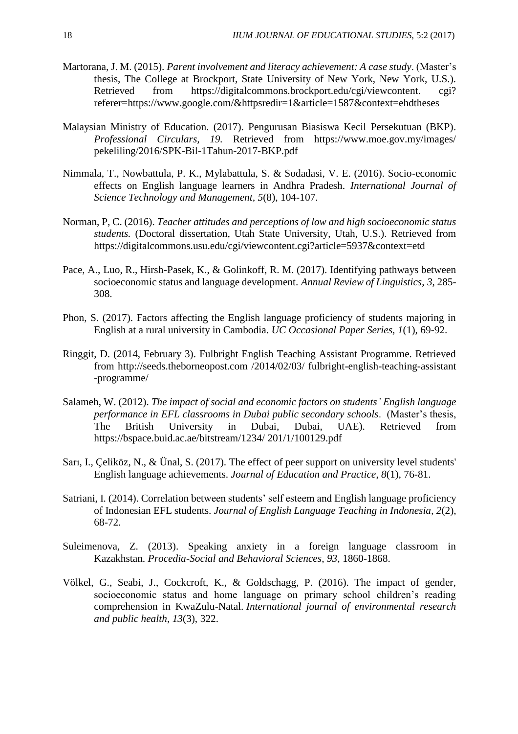- Martorana, J. M. (2015). *Parent involvement and literacy achievement: A case study*. (Master's thesis, The College at Brockport, State University of New York, New York, U.S.). Retrieved from https://digitalcommons.brockport.edu/cgi/viewcontent. cgi? referer=https://www.google.com/&httpsredir=1&article=1587&context=ehdtheses
- Malaysian Ministry of Education. (2017). Pengurusan Biasiswa Kecil Persekutuan (BKP). *Professional Circulars, 19.* Retrieved from https://www.moe.gov.my/images/ pekeliling/2016/SPK-Bil-1Tahun-2017-BKP.pdf
- Nimmala, T., Nowbattula, P. K., Mylabattula, S. & Sodadasi, V. E. (2016). Socio-economic effects on English language learners in Andhra Pradesh. *International Journal of Science Technology and Management, 5*(8), 104-107.
- Norman, P, C. (2016). *Teacher attitudes and perceptions of low and high socioeconomic status students.* (Doctoral dissertation, Utah State University, Utah, U.S.). Retrieved from https://digitalcommons.usu.edu/cgi/viewcontent.cgi?article=5937&context=etd
- Pace, A., Luo, R., Hirsh-Pasek, K., & Golinkoff, R. M. (2017). Identifying pathways between socioeconomic status and language development. *Annual Review of Linguistics*, *3*, 285- 308.
- Phon, S. (2017). Factors affecting the English language proficiency of students majoring in English at a rural university in Cambodia. *UC Occasional Paper Series, 1*(1), 69-92.
- Ringgit, D. (2014, February 3). Fulbright English Teaching Assistant Programme. Retrieved from http://seeds.theborneopost.com /2014/02/03/ fulbright-english-teaching-assistant -programme/
- Salameh, W. (2012). *The impact of social and economic factors on students' English language performance in EFL classrooms in Dubai public secondary schools*. (Master's thesis, The British University in Dubai, Dubai, UAE). Retrieved from https://bspace.buid.ac.ae/bitstream/1234/ 201/1/100129.pdf
- Sarı, I., Çeliköz, N., & Ünal, S. (2017). The effect of peer support on university level students' English language achievements. *Journal of Education and Practice*, *8*(1), 76-81.
- Satriani, I. (2014). Correlation between students' self esteem and English language proficiency of Indonesian EFL students. *Journal of English Language Teaching in Indonesia*, *2*(2), 68-72.
- Suleimenova, Z. (2013). Speaking anxiety in a foreign language classroom in Kazakhstan. *Procedia-Social and Behavioral Sciences*, *93*, 1860-1868.
- Völkel, G., Seabi, J., Cockcroft, K., & Goldschagg, P. (2016). The impact of gender, socioeconomic status and home language on primary school children's reading comprehension in KwaZulu-Natal. *International journal of environmental research and public health*, *13*(3), 322.